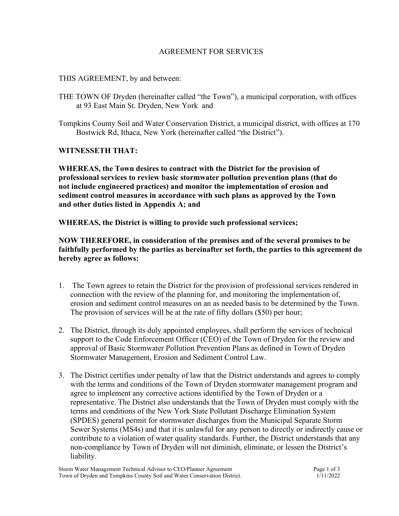### AGREEMENT FOR SERVICES

### THIS AGREEMENT, by and between:

- THE TOWN OF Dryden (hereinafter called "the Town"), a municipal corporation, with offices at 93 East Main St. Dryden, New York and
- Tompkins County Soil and Water Conservation District, a municipal district, with offices at 170 Bostwick Rd, Ithaca, New York (hereinafter called "the District").

### **WITNESSETH THAT:**

**WHEREAS, the Town desires to contract with the District for the provision of professional services to review basic stormwater pollution prevention plans (that do not include engineered practices) and monitor the implementation of erosion and sediment control measures in accordance with such plans as approved by the Town and other duties listed in Appendix A; and** 

**WHEREAS, the District is willing to provide such professional services;**

**NOW THEREFORE, in consideration of the premises and of the several promises to be faithfully performed by the parties as hereinafter set forth, the parties to this agreement do hereby agree as follows:** 

- 1. The Town agrees to retain the District for the provision of professional services rendered in connection with the review of the planning for, and monitoring the implementation of, erosion and sediment control measures on an as needed basis to be determined by the Town. The provision of services will be at the rate of fifty dollars (\$50) per hour;
- 2. The District, through its duly appointed employees, shall perform the services of technical support to the Code Enforcement Officer (CEO) of the Town of Dryden for the review and approval of Basic Stormwater Pollution Prevention Plans as defined in Town of Dryden Stormwater Management, Erosion and Sediment Control Law.
- 3. The District certifies under penalty of law that the District understands and agrees to comply with the terms and conditions of the Town of Dryden stormwater management program and agree to implement any corrective actions identified by the Town of Dryden or a representative. The District also understands that the Town of Dryden must comply with the terms and conditions of the New York State Pollutant Discharge Elimination System (SPDES) general permit for stormwater discharges from the Municipal Separate Storm Sewer Systems (MS4s) and that it is unlawful for any person to directly or indirectly cause or contribute to a violation of water quality standards. Further, the District understands that any non-compliance by Town of Dryden will not diminish, eliminate, or lessen the District's liability.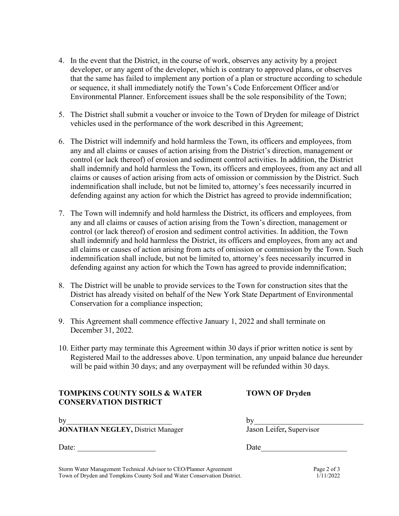- 4. In the event that the District, in the course of work, observes any activity by a project developer, or any agent of the developer, which is contrary to approved plans, or observes that the same has failed to implement any portion of a plan or structure according to schedule or sequence, it shall immediately notify the Town's Code Enforcement Officer and/or Environmental Planner. Enforcement issues shall be the sole responsibility of the Town;
- 5. The District shall submit a voucher or invoice to the Town of Dryden for mileage of District vehicles used in the performance of the work described in this Agreement;
- 6. The District will indemnify and hold harmless the Town, its officers and employees, from any and all claims or causes of action arising from the District's direction, management or control (or lack thereof) of erosion and sediment control activities. In addition, the District shall indemnify and hold harmless the Town, its officers and employees, from any act and all claims or causes of action arising from acts of omission or commission by the District. Such indemnification shall include, but not be limited to, attorney's fees necessarily incurred in defending against any action for which the District has agreed to provide indemnification;
- 7. The Town will indemnify and hold harmless the District, its officers and employees, from any and all claims or causes of action arising from the Town's direction, management or control (or lack thereof) of erosion and sediment control activities. In addition, the Town shall indemnify and hold harmless the District, its officers and employees, from any act and all claims or causes of action arising from acts of omission or commission by the Town. Such indemnification shall include, but not be limited to, attorney's fees necessarily incurred in defending against any action for which the Town has agreed to provide indemnification;
- 8. The District will be unable to provide services to the Town for construction sites that the District has already visited on behalf of the New York State Department of Environmental Conservation for a compliance inspection;
- 9. This Agreement shall commence effective January 1, 2022 and shall terminate on December 31, 2022.
- 10. Either party may terminate this Agreement within 30 days if prior written notice is sent by Registered Mail to the addresses above. Upon termination, any unpaid balance due hereunder will be paid within 30 days; and any overpayment will be refunded within 30 days.

# **TOMPKINS COUNTY SOILS & WATER TOWN OF Dryden CONSERVATION DISTRICT**

**JONATHAN NEGLEY,** District Manager Jason Leifer**,** Supervisor

Date: \_\_\_\_\_\_\_\_\_\_\_\_\_\_\_\_\_\_\_\_ Date\_\_\_\_\_\_\_\_\_\_\_\_\_\_\_\_\_\_\_\_\_\_

by by by by  $\frac{b}{2}$ 

Storm Water Management Technical Advisor to CEO/Planner Agreement Page 2 of 3 Town of Dryden and Tompkins County Soil and Water Conservation District. 1/11/2022